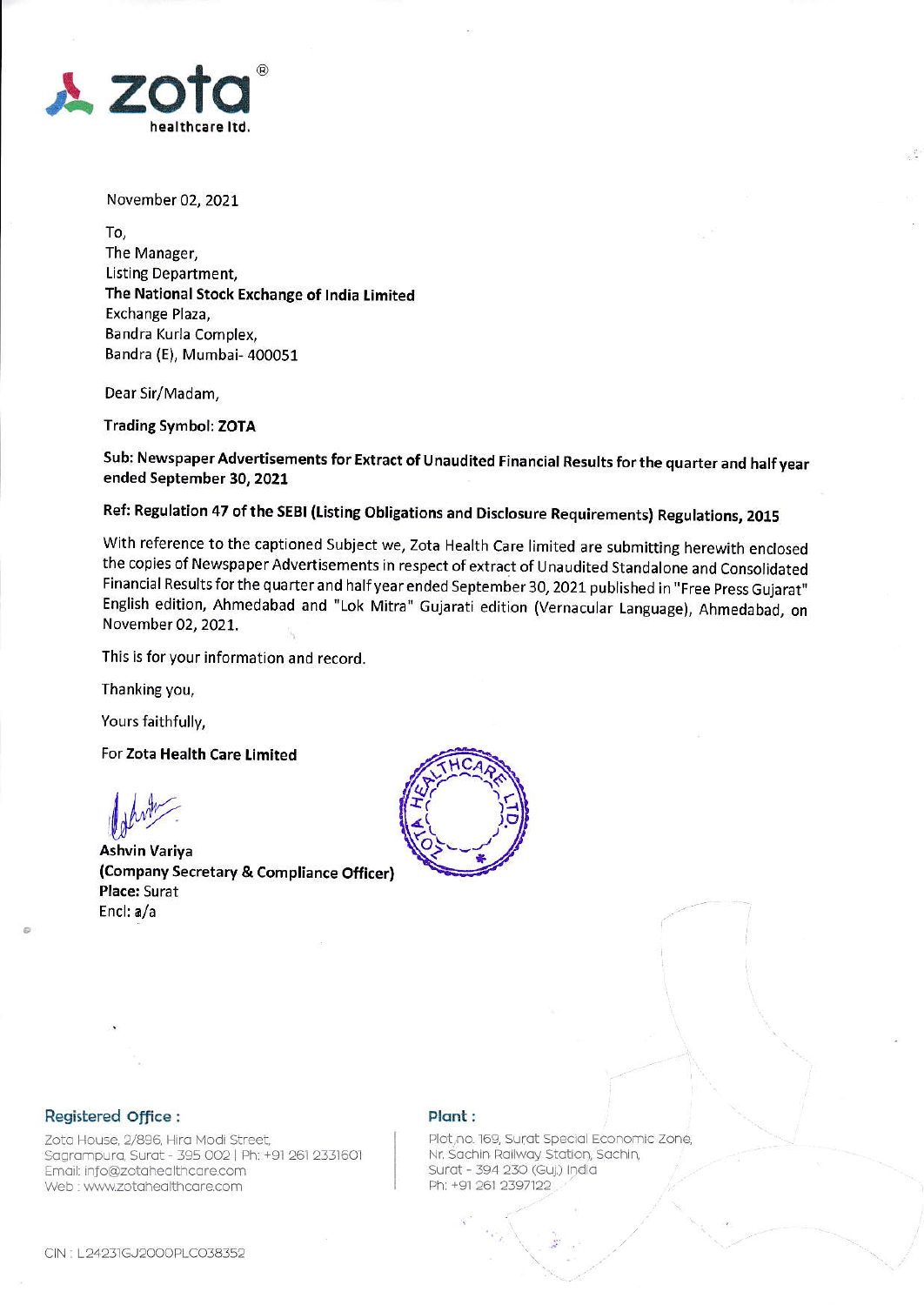

November 02, 2021

To, The Manager, Listing Department, The National Stock Exchange of India Limited Exchange Plaza, Bandra Kurla Complex, Bandra (E), Mumbai- 400051

Dear Sir/Madam,

**Trading Symbol: ZOTA** 

Sub: Newspaper Advertisements for Extract of Unaudited Financial Results for the quarter and half year ended September 30, 2021

Ref: Regulation 47 of the SEBI (Listing Obligations and Disclosure Requirements) Regulations, 2015

With reference to the captioned Subject we, Zota Health Care limited are submitting herewith enclosed the copies of Newspaper Advertisements in respect of extract of Unaudited Standalone and Consolidated Financial Results for the quarter and half year ended September 30, 2021 published in "Free Press Gujarat" English edition, Ahmedabad and "Lok Mitra" Gujarati edition (Vernacular Language), Ahmedabad, on November 02, 2021.

This is for your information and record.

Thanking you,

Yours faithfully,

For Zota Health Care Limited

**Ashvin Variya** (Company Secretary & Compliance Officer) Place: Surat Encl: a/a



## Registered Office :

Zota House, 2/896, Hira Modi Street, Sagrampura, Surat - 395 002 | Ph: +91 261 2331601 Email: info@zotahealthcare.com Web : www.zotahealthcare.com

## Plant:

Plot, no. 169, Surat Special Economic Zone, Nr. Sachin Railway Station, Sachin, Surat - 394 230 (Guj.) India Ph: +91 261 2397122